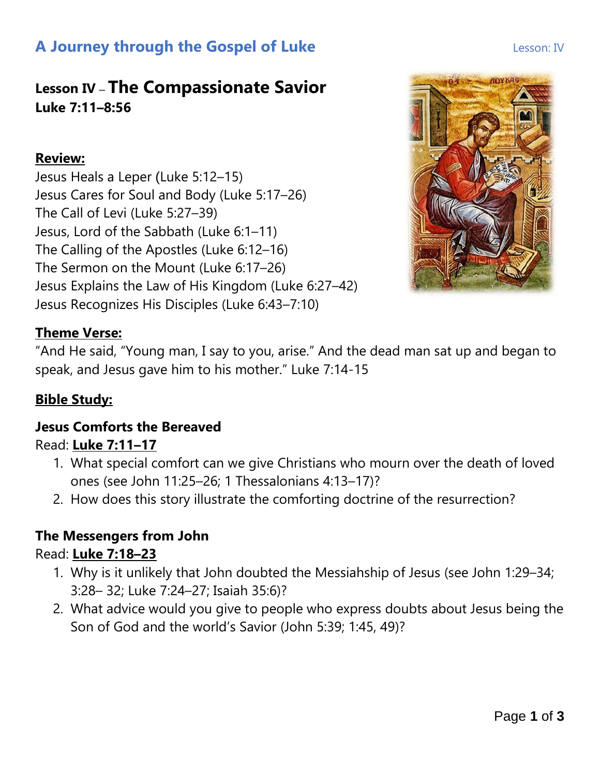# **A Journey through the Gospel of Luke Lesson: IV** Lesson: IV

## **Lesson IV** – **The Compassionate Savior Luke 7:11–8:56**

#### **Review:**

Jesus Heals a Leper (Luke 5:12–15) Jesus Cares for Soul and Body (Luke 5:17–26) The Call of Levi (Luke 5:27–39) Jesus, Lord of the Sabbath (Luke 6:1–11) The Calling of the Apostles (Luke 6:12–16) The Sermon on the Mount (Luke 6:17–26) Jesus Explains the Law of His Kingdom (Luke 6:27–42) Jesus Recognizes His Disciples (Luke 6:43–7:10)



## **Theme Verse:**

"And He said, "Young man, I say to you, arise." And the dead man sat up and began to speak, and Jesus gave him to his mother." Luke 7:14-15

## **Bible Study:**

## **Jesus Comforts the Bereaved**

## Read: **Luke 7:11–17**

- 1. What special comfort can we give Christians who mourn over the death of loved ones (see John 11:25–26; 1 Thessalonians 4:13–17)?
- 2. How does this story illustrate the comforting doctrine of the resurrection?

## **The Messengers from John**

## Read: **Luke 7:18–23**

- 1. Why is it unlikely that John doubted the Messiahship of Jesus (see John 1:29–34; 3:28– 32; Luke 7:24–27; Isaiah 35:6)?
- 2. What advice would you give to people who express doubts about Jesus being the Son of God and the world's Savior (John 5:39; 1:45, 49)?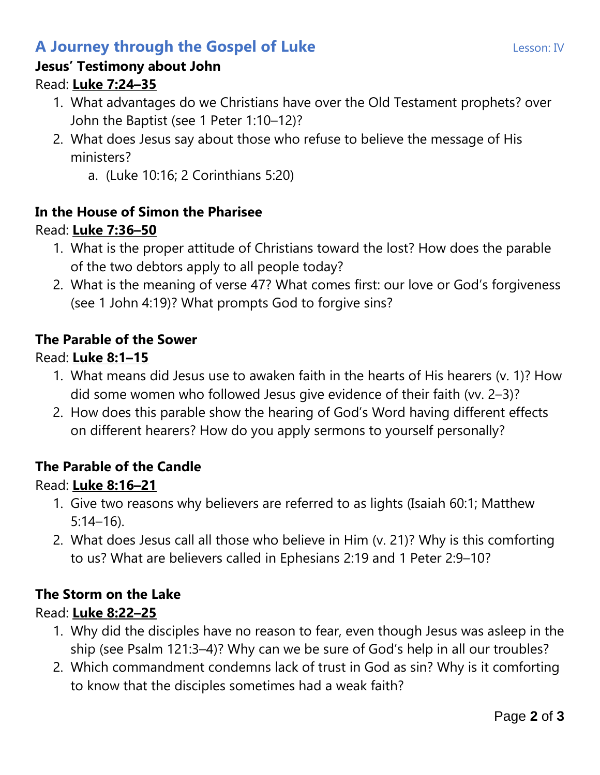# **A Journey through the Gospel of Luke Lesson: IV** Lesson: IV

### **Jesus' Testimony about John**

### Read: **Luke 7:24–35**

- 1. What advantages do we Christians have over the Old Testament prophets? over John the Baptist (see 1 Peter 1:10–12)?
- 2. What does Jesus say about those who refuse to believe the message of His ministers?
	- a. (Luke 10:16; 2 Corinthians 5:20)

## **In the House of Simon the Pharisee**

## Read: **Luke 7:36–50**

- 1. What is the proper attitude of Christians toward the lost? How does the parable of the two debtors apply to all people today?
- 2. What is the meaning of verse 47? What comes first: our love or God's forgiveness (see 1 John 4:19)? What prompts God to forgive sins?

#### **The Parable of the Sower**

#### Read: **Luke 8:1–15**

- 1. What means did Jesus use to awaken faith in the hearts of His hearers (v. 1)? How did some women who followed Jesus give evidence of their faith (vv. 2–3)?
- 2. How does this parable show the hearing of God's Word having different effects on different hearers? How do you apply sermons to yourself personally?

## **The Parable of the Candle**

#### Read: **Luke 8:16–21**

- 1. Give two reasons why believers are referred to as lights (Isaiah 60:1; Matthew 5:14–16).
- 2. What does Jesus call all those who believe in Him (v. 21)? Why is this comforting to us? What are believers called in Ephesians 2:19 and 1 Peter 2:9–10?

## **The Storm on the Lake**

## Read: **Luke 8:22–25**

- 1. Why did the disciples have no reason to fear, even though Jesus was asleep in the ship (see Psalm 121:3–4)? Why can we be sure of God's help in all our troubles?
- 2. Which commandment condemns lack of trust in God as sin? Why is it comforting to know that the disciples sometimes had a weak faith?